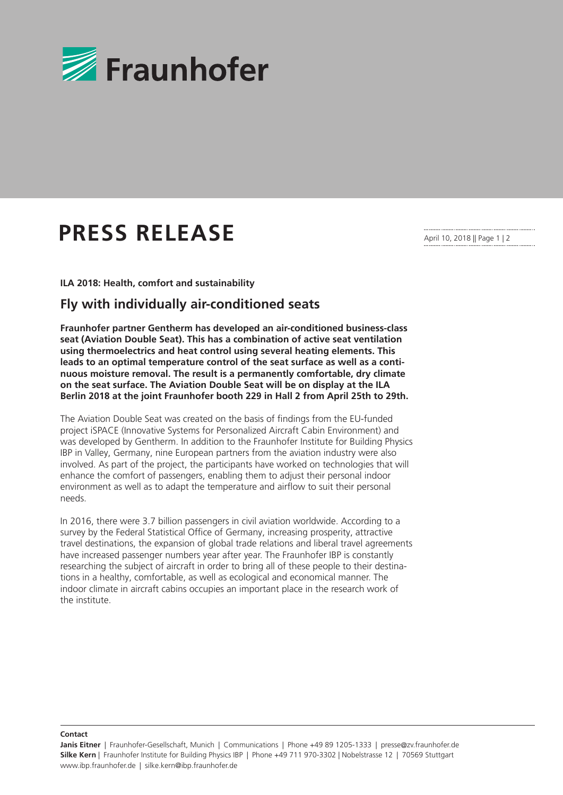

## **PRESS RELEASE**

April 10, 2018 || Page 1 | 2

**ILA 2018: Health, comfort and sustainability**

## **Fly with individually air-conditioned seats**

**Fraunhofer partner Gentherm has developed an air-conditioned business-class seat (Aviation Double Seat). This has a combination of active seat ventilation using thermoelectrics and heat control using several heating elements. This leads to an optimal temperature control of the seat surface as well as a continuous moisture removal. The result is a permanently comfortable, dry climate on the seat surface. The Aviation Double Seat will be on display at the ILA Berlin 2018 at the joint Fraunhofer booth 229 in Hall 2 from April 25th to 29th.**

The Aviation Double Seat was created on the basis of findings from the EU-funded project iSPACE (Innovative Systems for Personalized Aircraft Cabin Environment) and was developed by Gentherm. In addition to the Fraunhofer Institute for Building Physics IBP in Valley, Germany, nine European partners from the aviation industry were also involved. As part of the project, the participants have worked on technologies that will enhance the comfort of passengers, enabling them to adjust their personal indoor environment as well as to adapt the temperature and airflow to suit their personal needs.

In 2016, there were 3.7 billion passengers in civil aviation worldwide. According to a survey by the Federal Statistical Office of Germany, increasing prosperity, attractive travel destinations, the expansion of global trade relations and liberal travel agreements have increased passenger numbers year after year. The Fraunhofer IBP is constantly researching the subject of aircraft in order to bring all of these people to their destinations in a healthy, comfortable, as well as ecological and economical manner. The indoor climate in aircraft cabins occupies an important place in the research work of the institute.

**Contact**

**Janis Eitner** | Fraunhofer-Gesellschaft, Munich | Communications | Phone +49 89 1205-1333 | presse@zv.fraunhofer.de **Silke Kern** | Fraunhofer Institute for Building Physics IBP | Phone +49 711 970-3302 | Nobelstrasse 12 | 70569 Stuttgart www.ibp.fraunhofer.de | silke.kern@ibp.fraunhofer.de